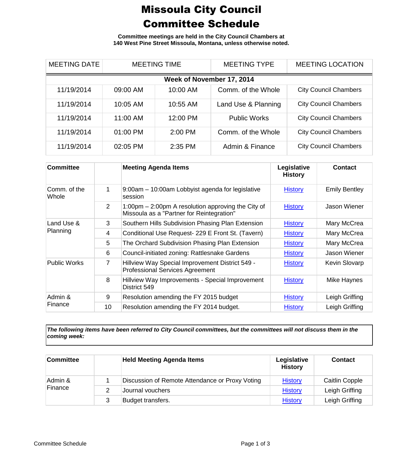## Missoula City Council Committee Schedule

**Committee meetings are held in the City Council Chambers at 140 West Pine Street Missoula, Montana, unless otherwise noted.**

| <b>MEETING DATE</b>       | <b>MEETING TIME</b> |          | <b>MEETING TYPE</b> | <b>MEETING LOCATION</b>      |  |  |
|---------------------------|---------------------|----------|---------------------|------------------------------|--|--|
| Week of November 17, 2014 |                     |          |                     |                              |  |  |
| 11/19/2014                | 09:00 AM            | 10:00 AM | Comm. of the Whole  | <b>City Council Chambers</b> |  |  |
| 11/19/2014                | 10:05 AM            | 10:55 AM | Land Use & Planning | <b>City Council Chambers</b> |  |  |
| 11/19/2014                | 11:00 AM            | 12:00 PM | <b>Public Works</b> | <b>City Council Chambers</b> |  |  |
| 11/19/2014                | 01:00 PM            | 2:00 PM  | Comm. of the Whole  | <b>City Council Chambers</b> |  |  |
| 11/19/2014                | 02:05 PM            | 2:35 PM  | Admin & Finance     | <b>City Council Chambers</b> |  |  |

| <b>Committee</b>       |    | <b>Meeting Agenda Items</b>                                                                       | Legislative<br><b>History</b> | <b>Contact</b>       |
|------------------------|----|---------------------------------------------------------------------------------------------------|-------------------------------|----------------------|
| Comm. of the<br>Whole  | 1  | 9:00am – 10:00am Lobbyist agenda for legislative<br>session                                       | <b>History</b>                | <b>Emily Bentley</b> |
|                        | 2  | 1:00pm $-$ 2:00pm A resolution approving the City of<br>Missoula as a "Partner for Reintegration" | <b>History</b>                | Jason Wiener         |
| Land Use &<br>Planning | 3  | Southern Hills Subdivision Phasing Plan Extension                                                 | <b>History</b>                | Mary McCrea          |
|                        | 4  | Conditional Use Request- 229 E Front St. (Tavern)                                                 | <b>History</b>                | Mary McCrea          |
|                        | 5  | The Orchard Subdivision Phasing Plan Extension                                                    | <b>History</b>                | Mary McCrea          |
|                        | 6  | Council-initiated zoning: Rattlesnake Gardens                                                     | <b>History</b>                | Jason Wiener         |
| Public Works           | 7  | Hillview Way Special Improvement District 549 -<br><b>Professional Services Agreement</b>         | <b>History</b>                | <b>Kevin Slovarp</b> |
|                        | 8  | Hillview Way Improvements - Special Improvement<br>District 549                                   | <b>History</b>                | Mike Haynes          |
| Admin &<br>Finance     | 9  | Resolution amending the FY 2015 budget                                                            | <b>History</b>                | Leigh Griffing       |
|                        | 10 | Resolution amending the FY 2014 budget.                                                           | <b>History</b>                | Leigh Griffing       |

*The following items have been referred to City Council committees, but the committees will not discuss them in the coming week:*

| <b>Committee</b>   | <b>Held Meeting Agenda Items</b>                | Legislative<br><b>History</b> | <b>Contact</b>        |
|--------------------|-------------------------------------------------|-------------------------------|-----------------------|
| Admin &<br>Finance | Discussion of Remote Attendance or Proxy Voting | <b>History</b>                | <b>Caitlin Copple</b> |
|                    | Journal vouchers                                | <b>History</b>                | Leigh Griffing        |
|                    | Budget transfers.                               | <b>History</b>                | Leigh Griffing        |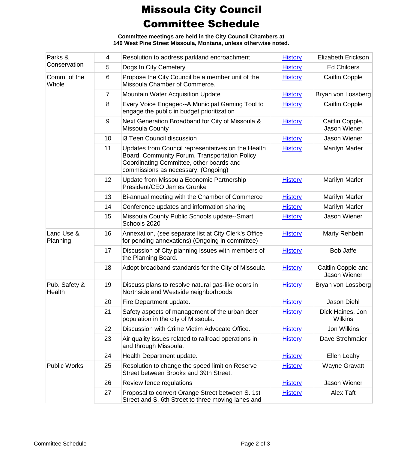## Missoula City Council Committee Schedule

**Committee meetings are held in the City Council Chambers at 140 West Pine Street Missoula, Montana, unless otherwise noted.**

| Parks &<br>Conservation | 4              | Resolution to address parkland encroachment                                                                                                                                            | <b>History</b> | Elizabeth Erickson                 |
|-------------------------|----------------|----------------------------------------------------------------------------------------------------------------------------------------------------------------------------------------|----------------|------------------------------------|
|                         | 5              | Dogs In City Cemetery                                                                                                                                                                  | <b>History</b> | <b>Ed Childers</b>                 |
| Comm. of the<br>Whole   | 6              | Propose the City Council be a member unit of the<br>Missoula Chamber of Commerce.                                                                                                      | <b>History</b> | <b>Caitlin Copple</b>              |
|                         | $\overline{7}$ | Mountain Water Acquisition Update                                                                                                                                                      | <b>History</b> | Bryan von Lossberg                 |
|                         | 8              | Every Voice Engaged--A Municipal Gaming Tool to<br>engage the public in budget prioritization                                                                                          | <b>History</b> | <b>Caitlin Copple</b>              |
|                         | $9\,$          | Next Generation Broadband for City of Missoula &<br>Missoula County                                                                                                                    | <b>History</b> | Caitlin Copple,<br>Jason Wiener    |
|                         | 10             | i3 Teen Council discussion                                                                                                                                                             | <b>History</b> | Jason Wiener                       |
|                         | 11             | Updates from Council representatives on the Health<br>Board, Community Forum, Transportation Policy<br>Coordinating Committee, other boards and<br>commissions as necessary. (Ongoing) | <b>History</b> | <b>Marilyn Marler</b>              |
|                         | 12             | Update from Missoula Economic Partnership<br>President/CEO James Grunke                                                                                                                | <b>History</b> | <b>Marilyn Marler</b>              |
|                         | 13             | Bi-annual meeting with the Chamber of Commerce                                                                                                                                         | <b>History</b> | <b>Marilyn Marler</b>              |
|                         | 14             | Conference updates and information sharing                                                                                                                                             | <b>History</b> | <b>Marilyn Marler</b>              |
|                         | 15             | Missoula County Public Schools update--Smart<br>Schools 2020                                                                                                                           | <b>History</b> | Jason Wiener                       |
| Land Use &<br>Planning  | 16             | Annexation, (see separate list at City Clerk's Office<br>for pending annexations) (Ongoing in committee)                                                                               | <b>History</b> | Marty Rehbein                      |
|                         | 17             | Discussion of City planning issues with members of<br>the Planning Board.                                                                                                              | <b>History</b> | <b>Bob Jaffe</b>                   |
|                         | 18             | Adopt broadband standards for the City of Missoula                                                                                                                                     | <b>History</b> | Caitlin Copple and<br>Jason Wiener |
| Pub. Safety &<br>Health | 19             | Discuss plans to resolve natural gas-like odors in<br>Northside and Westside neighborhoods                                                                                             | <b>History</b> | Bryan von Lossberg                 |
|                         | 20             | Fire Department update.                                                                                                                                                                | <b>History</b> | <b>Jason Diehl</b>                 |
|                         | 21             | Safety aspects of management of the urban deer<br>population in the city of Missoula.                                                                                                  | <b>History</b> | Dick Haines, Jon<br><b>Wilkins</b> |
|                         | 22             | Discussion with Crime Victim Advocate Office.                                                                                                                                          | <b>History</b> | Jon Wilkins                        |
|                         | 23             | Air quality issues related to railroad operations in<br>and through Missoula.                                                                                                          | <b>History</b> | Dave Strohmaier                    |
|                         | 24             | Health Department update.                                                                                                                                                              | <b>History</b> | Ellen Leahy                        |
| <b>Public Works</b>     | 25             | Resolution to change the speed limit on Reserve<br>Street between Brooks and 39th Street.                                                                                              | <b>History</b> | <b>Wayne Gravatt</b>               |
|                         | 26             | Review fence regulations                                                                                                                                                               | <b>History</b> | Jason Wiener                       |
|                         | 27             | Proposal to convert Orange Street between S. 1st<br>Street and S. 6th Street to three moving lanes and                                                                                 | <b>History</b> | Alex Taft                          |